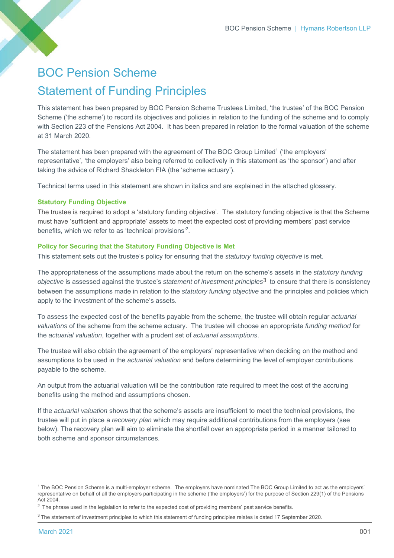# BOC Pension Scheme Statement of Funding Principles

This statement has been prepared by BOC Pension Scheme Trustees Limited, 'the trustee' of the BOC Pension Scheme ('the scheme') to record its objectives and policies in relation to the funding of the scheme and to comply with Section 223 of the Pensions Act 2004. It has been prepared in relation to the formal valuation of the scheme at 31 March 2020.

The statement has been prepared with the agreement of The BOC Group Limited<sup>1</sup> ('the employers' representative', 'the employers' also being referred to collectively in this statement as 'the sponsor') and after taking the advice of Richard Shackleton FIA (the 'scheme actuary').

Technical terms used in this statement are shown in italics and are explained in the attached glossary.

# **Statutory Funding Objective**

The trustee is required to adopt a 'statutory funding objective'. The statutory funding objective is that the Scheme must have 'sufficient and appropriate' assets to meet the expected cost of providing members' past service benefits, which we refer to as 'technical provisions'2.

# **Policy for Securing that the Statutory Funding Objective is Met**

This statement sets out the trustee's policy for ensuring that the *statutory funding objective* is met.

The appropriateness of the assumptions made about the return on the scheme's assets in the *statutory funding objective* is assessed against the trustee's *statement of investment principles*3 to ensure that there is consistency between the assumptions made in relation to the *statutory funding objective* and the principles and policies which apply to the investment of the scheme's assets.

To assess the expected cost of the benefits payable from the scheme, the trustee will obtain regular *actuarial valuations* of the scheme from the scheme actuary. The trustee will choose an appropriate *funding method* for the *actuarial valuation*, together with a prudent set of *actuarial assumptions*.

The trustee will also obtain the agreement of the employers' representative when deciding on the method and assumptions to be used in the *actuarial valuation* and before determining the level of employer contributions payable to the scheme.

An output from the actuarial valuation will be the contribution rate required to meet the cost of the accruing benefits using the method and assumptions chosen.

If the *actuarial valuation* shows that the scheme's assets are insufficient to meet the technical provisions, the trustee will put in place a *recovery plan* which may require additional contributions from the employers (see below). The recovery plan will aim to eliminate the shortfall over an appropriate period in a manner tailored to both scheme and sponsor circumstances.

 $1$  The BOC Pension Scheme is a multi-employer scheme. The employers have nominated The BOC Group Limited to act as the employers' representative on behalf of all the employers participating in the scheme ('the employers') for the purpose of Section 229(1) of the Pensions Act 2004.

<sup>&</sup>lt;sup>2</sup> The phrase used in the legislation to refer to the expected cost of providing members' past service benefits.

<sup>3</sup> The statement of investment principles to which this statement of funding principles relates is dated 17 September 2020.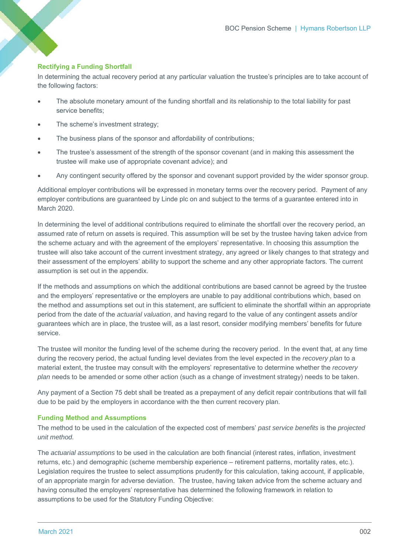# **Rectifying a Funding Shortfall**

In determining the actual recovery period at any particular valuation the trustee's principles are to take account of the following factors:

- The absolute monetary amount of the funding shortfall and its relationship to the total liability for past service benefits;
- The scheme's investment strategy;
- The business plans of the sponsor and affordability of contributions;
- The trustee's assessment of the strength of the sponsor covenant (and in making this assessment the trustee will make use of appropriate covenant advice); and
- Any contingent security offered by the sponsor and covenant support provided by the wider sponsor group.

Additional employer contributions will be expressed in monetary terms over the recovery period. Payment of any employer contributions are guaranteed by Linde plc on and subject to the terms of a guarantee entered into in March 2020.

In determining the level of additional contributions required to eliminate the shortfall over the recovery period, an assumed rate of return on assets is required. This assumption will be set by the trustee having taken advice from the scheme actuary and with the agreement of the employers' representative. In choosing this assumption the trustee will also take account of the current investment strategy, any agreed or likely changes to that strategy and their assessment of the employers' ability to support the scheme and any other appropriate factors. The current assumption is set out in the appendix.

If the methods and assumptions on which the additional contributions are based cannot be agreed by the trustee and the employers' representative or the employers are unable to pay additional contributions which, based on the method and assumptions set out in this statement, are sufficient to eliminate the shortfall within an appropriate period from the date of the *actuarial valuation*, and having regard to the value of any contingent assets and/or guarantees which are in place, the trustee will, as a last resort, consider modifying members' benefits for future service.

The trustee will monitor the funding level of the scheme during the recovery period. In the event that, at any time during the recovery period, the actual funding level deviates from the level expected in the *recovery plan* to a material extent, the trustee may consult with the employers' representative to determine whether the *recovery plan* needs to be amended or some other action (such as a change of investment strategy) needs to be taken.

Any payment of a Section 75 debt shall be treated as a prepayment of any deficit repair contributions that will fall due to be paid by the employers in accordance with the then current recovery plan.

#### **Funding Method and Assumptions**

The method to be used in the calculation of the expected cost of members' *past service benefits* is the *projected unit method.* 

The *actuarial assumptions* to be used in the calculation are both financial (interest rates, inflation, investment returns, etc.) and demographic (scheme membership experience – retirement patterns, mortality rates, etc.). Legislation requires the trustee to select assumptions prudently for this calculation, taking account, if applicable, of an appropriate margin for adverse deviation. The trustee, having taken advice from the scheme actuary and having consulted the employers' representative has determined the following framework in relation to assumptions to be used for the Statutory Funding Objective: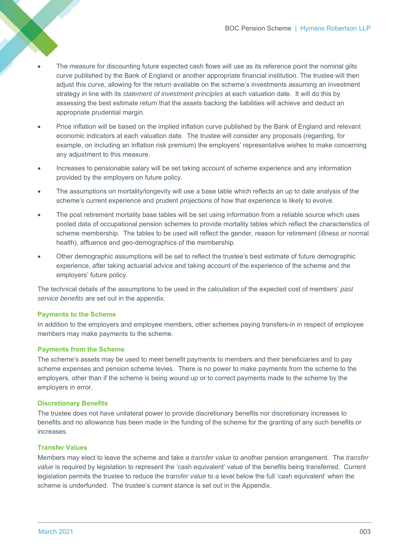- The measure for discounting future expected cash flows will use as its reference point the nominal gilts curve published by the Bank of England or another appropriate financial institution. The trustee will then adjust this curve, allowing for the return available on the scheme's investments assuming an investment strategy in line with its *statement of investment principles* at each valuation date. It will do this by assessing the best estimate return that the assets backing the liabilities will achieve and deduct an appropriate prudential margin.
- Price inflation will be based on the implied inflation curve published by the Bank of England and relevant economic indicators at each valuation date. The trustee will consider any proposals (regarding, for example, on including an inflation risk premium) the employers' representative wishes to make concerning any adjustment to this measure.
- Increases to pensionable salary will be set taking account of scheme experience and any information provided by the employers on future policy.
- The assumptions on mortality/longevity will use a base table which reflects an up to date analysis of the scheme's current experience and prudent projections of how that experience is likely to evolve.
- The post retirement mortality base tables will be set using information from a reliable source which uses pooled data of occupational pension schemes to provide mortality tables which reflect the characteristics of scheme membership. The tables to be used will reflect the gender, reason for retirement (illness or normal health), affluence and geo-demographics of the membership.
- Other demographic assumptions will be set to reflect the trustee's best estimate of future demographic experience, after taking actuarial advice and taking account of the experience of the scheme and the employers' future policy.

The technical details of the assumptions to be used in the calculation of the expected cost of members' *past service benefits* are set out in the appendix.

#### **Payments to the Scheme**

In addition to the employers and employee members, other schemes paying transfers-in in respect of employee members may make payments to the scheme.

#### **Payments from the Scheme**

The scheme's assets may be used to meet benefit payments to members and their beneficiaries and to pay scheme expenses and pension scheme levies. There is no power to make payments from the scheme to the employers, other than if the scheme is being wound up or to correct payments made to the scheme by the employers in error.

#### **Discretionary Benefits**

The trustee does not have unilateral power to provide discretionary benefits nor discretionary increases to benefits and no allowance has been made in the funding of the scheme for the granting of any such benefits or increases.

# **Transfer Values**

Members may elect to leave the scheme and take a *transfer value* to another pension arrangement. The *transfer value* is required by legislation to represent the 'cash equivalent' value of the benefits being transferred. Current legislation permits the trustee to reduce the *transfer value* to a level below the full 'cash equivalent' when the scheme is underfunded. The trustee's current stance is set out in the Appendix.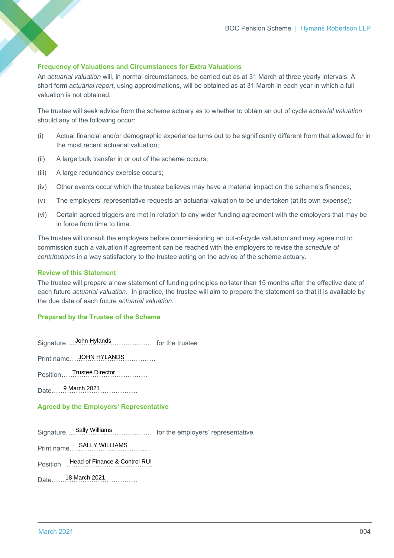### **Frequency of Valuations and Circumstances for Extra Valuations**

An *actuarial valuation* will, in normal circumstances, be carried out as at 31 March at three yearly intervals. A short form *actuarial report*, using approximations, will be obtained as at 31 March in each year in which a full valuation is not obtained.

The trustee will seek advice from the scheme actuary as to whether to obtain an out of cycle *actuarial valuation* should any of the following occur:

- (i) Actual financial and/or demographic experience turns out to be significantly different from that allowed for in the most recent actuarial valuation;
- (ii) A large bulk transfer in or out of the scheme occurs;
- (iii) A large redundancy exercise occurs;
- (iv) Other events occur which the trustee believes may have a material impact on the scheme's finances;
- (v) The employers' representative requests an actuarial valuation to be undertaken (at its own expense);
- (vi) Certain agreed triggers are met in relation to any wider funding agreement with the employers that may be in force from time to time.

The trustee will consult the employers before commissioning an out-of-cycle valuation and may agree not to commission such a valuation if agreement can be reached with the employers to revise the *schedule of contributions* in a way satisfactory to the trustee acting on the advice of the scheme actuary.

#### **Review of this Statement**

The trustee will prepare a new statement of funding principles no later than 15 months after the effective date of each future *actuarial valuation*. In practice, the trustee will aim to prepare the statement so that it is available by the due date of each future *actuarial valuation*.

#### **Prepared by the Trustee of the Scheme**

Signature………………………………… for the trustee John Hylands

Print name………………………………… JOHN HYLANDS

Position ………………………………… Trustee Director

Date………………………………… 9 March 2021

#### **Agreed by the Employers' Representative**

Signature………………………………… for the employers' representative Signature....Sally Williams

Print name………………………………. SALLY WILLIAMS

Position Head of Finance & Control RUI

Date………………………………… 18 March 2021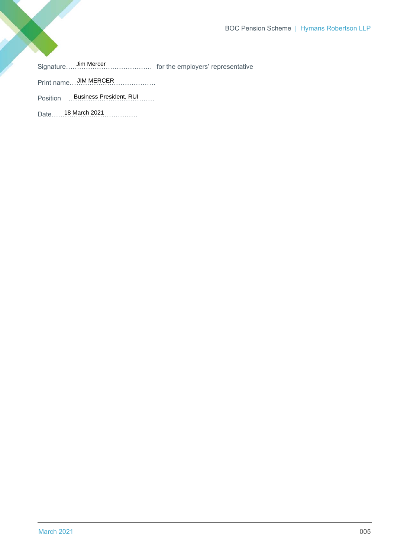Signature………………………………… for the employers' representative Jim Mercer

Print name….JIM MERCER…………………

Position ………………………………… Business President, RUI

Date…… 18 March 2021……………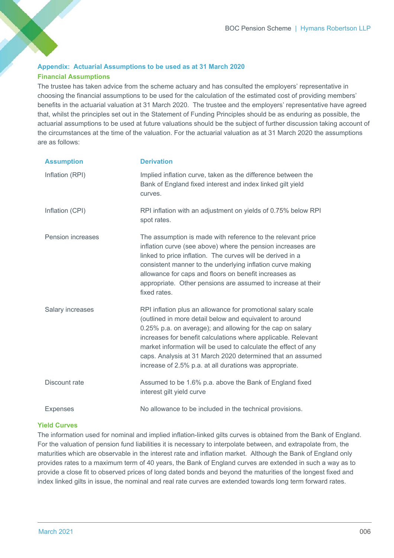# **Appendix: Actuarial Assumptions to be used as at 31 March 2020 Financial Assumptions**

The trustee has taken advice from the scheme actuary and has consulted the employers' representative in choosing the financial assumptions to be used for the calculation of the estimated cost of providing members' benefits in the actuarial valuation at 31 March 2020. The trustee and the employers' representative have agreed that, whilst the principles set out in the Statement of Funding Principles should be as enduring as possible, the actuarial assumptions to be used at future valuations should be the subject of further discussion taking account of the circumstances at the time of the valuation. For the actuarial valuation as at 31 March 2020 the assumptions are as follows:

| <b>Assumption</b>        | <b>Derivation</b>                                                                                                                                                                                                                                                                                                                                                                                                                                 |
|--------------------------|---------------------------------------------------------------------------------------------------------------------------------------------------------------------------------------------------------------------------------------------------------------------------------------------------------------------------------------------------------------------------------------------------------------------------------------------------|
| Inflation (RPI)          | Implied inflation curve, taken as the difference between the<br>Bank of England fixed interest and index linked gilt yield<br>curves.                                                                                                                                                                                                                                                                                                             |
| Inflation (CPI)          | RPI inflation with an adjustment on yields of 0.75% below RPI<br>spot rates.                                                                                                                                                                                                                                                                                                                                                                      |
| <b>Pension increases</b> | The assumption is made with reference to the relevant price<br>inflation curve (see above) where the pension increases are<br>linked to price inflation. The curves will be derived in a<br>consistent manner to the underlying inflation curve making<br>allowance for caps and floors on benefit increases as<br>appropriate. Other pensions are assumed to increase at their<br>fixed rates.                                                   |
| Salary increases         | RPI inflation plus an allowance for promotional salary scale<br>(outlined in more detail below and equivalent to around<br>0.25% p.a. on average); and allowing for the cap on salary<br>increases for benefit calculations where applicable. Relevant<br>market information will be used to calculate the effect of any<br>caps. Analysis at 31 March 2020 determined that an assumed<br>increase of 2.5% p.a. at all durations was appropriate. |
| Discount rate            | Assumed to be 1.6% p.a. above the Bank of England fixed<br>interest gilt yield curve                                                                                                                                                                                                                                                                                                                                                              |
| <b>Expenses</b>          | No allowance to be included in the technical provisions.                                                                                                                                                                                                                                                                                                                                                                                          |

# **Yield Curves**

The information used for nominal and implied inflation-linked gilts curves is obtained from the Bank of England. For the valuation of pension fund liabilities it is necessary to interpolate between, and extrapolate from, the maturities which are observable in the interest rate and inflation market. Although the Bank of England only provides rates to a maximum term of 40 years, the Bank of England curves are extended in such a way as to provide a close fit to observed prices of long dated bonds and beyond the maturities of the longest fixed and index linked gilts in issue, the nominal and real rate curves are extended towards long term forward rates.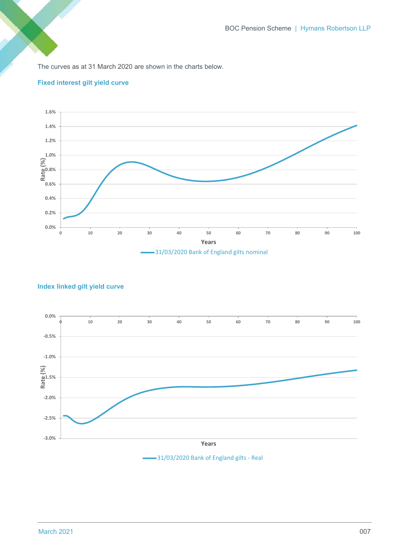The curves as at 31 March 2020 are shown in the charts below.



# **Fixed interest gilt yield curve**

# **Index linked gilt yield curve**

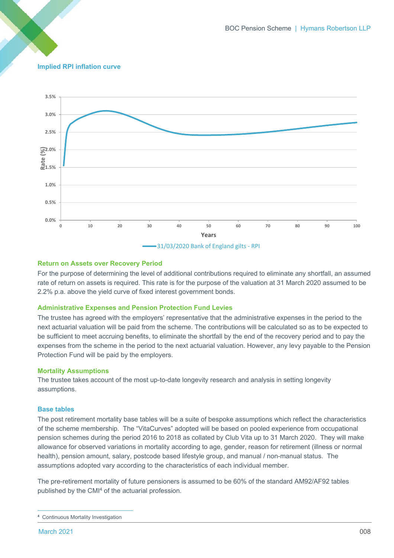# **Implied RPI inflation curve**



#### **Return on Assets over Recovery Period**

For the purpose of determining the level of additional contributions required to eliminate any shortfall, an assumed rate of return on assets is required. This rate is for the purpose of the valuation at 31 March 2020 assumed to be 2.2% p.a. above the yield curve of fixed interest government bonds.

#### **Administrative Expenses and Pension Protection Fund Levies**

The trustee has agreed with the employers' representative that the administrative expenses in the period to the next actuarial valuation will be paid from the scheme. The contributions will be calculated so as to be expected to be sufficient to meet accruing benefits, to eliminate the shortfall by the end of the recovery period and to pay the expenses from the scheme in the period to the next actuarial valuation. However, any levy payable to the Pension Protection Fund will be paid by the employers.

#### **Mortality Assumptions**

The trustee takes account of the most up-to-date longevity research and analysis in setting longevity assumptions.

#### **Base tables**

The post retirement mortality base tables will be a suite of bespoke assumptions which reflect the characteristics of the scheme membership. The "VitaCurves" adopted will be based on pooled experience from occupational pension schemes during the period 2016 to 2018 as collated by Club Vita up to 31 March 2020. They will make allowance for observed variations in mortality according to age, gender, reason for retirement (illness or normal health), pension amount, salary, postcode based lifestyle group, and manual / non-manual status. The assumptions adopted vary according to the characteristics of each individual member.

The pre-retirement mortality of future pensioners is assumed to be 60% of the standard AM92/AF92 tables published by the CMI4 of the actuarial profession.

**<sup>4</sup>** Continuous Mortality Investigation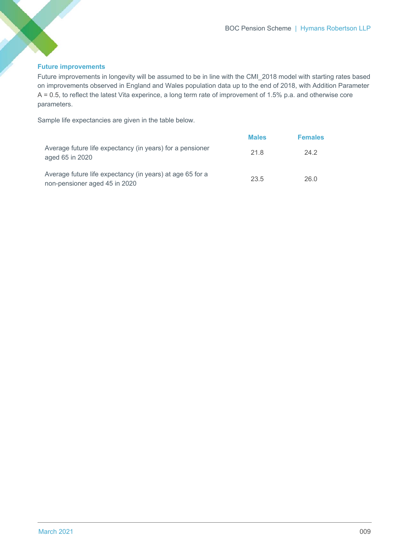# **Future improvements**

Future improvements in longevity will be assumed to be in line with the CMI\_2018 model with starting rates based on improvements observed in England and Wales population data up to the end of 2018, with Addition Parameter A = 0.5, to reflect the latest Vita experince, a long term rate of improvement of 1.5% p.a. and otherwise core parameters.

Sample life expectancies are given in the table below.

|                                                                                            | <b>Males</b> | <b>Females</b> |
|--------------------------------------------------------------------------------------------|--------------|----------------|
| Average future life expectancy (in years) for a pensioner<br>aged 65 in 2020               | 21.8         | 24.2           |
| Average future life expectancy (in years) at age 65 for a<br>non-pensioner aged 45 in 2020 | 23.5         | 26.0           |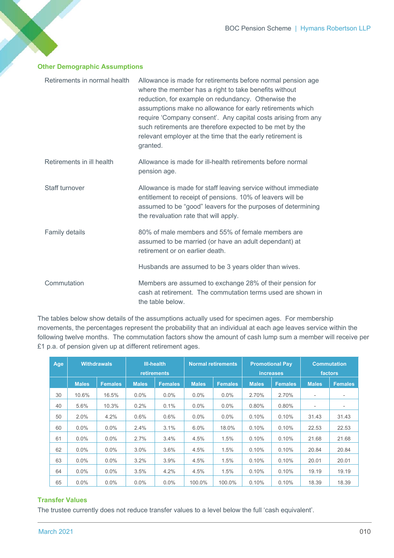# **Other Demographic Assumptions**

| Retirements in normal health | Allowance is made for retirements before normal pension age<br>where the member has a right to take benefits without<br>reduction, for example on redundancy. Otherwise the<br>assumptions make no allowance for early retirements which<br>require 'Company consent'. Any capital costs arising from any<br>such retirements are therefore expected to be met by the<br>relevant employer at the time that the early retirement is<br>granted. |
|------------------------------|-------------------------------------------------------------------------------------------------------------------------------------------------------------------------------------------------------------------------------------------------------------------------------------------------------------------------------------------------------------------------------------------------------------------------------------------------|
| Retirements in ill health    | Allowance is made for ill-health retirements before normal<br>pension age.                                                                                                                                                                                                                                                                                                                                                                      |
| Staff turnover               | Allowance is made for staff leaving service without immediate<br>entitlement to receipt of pensions. 10% of leavers will be<br>assumed to be "good" leavers for the purposes of determining<br>the revaluation rate that will apply.                                                                                                                                                                                                            |
| Family details               | 80% of male members and 55% of female members are<br>assumed to be married (or have an adult dependant) at<br>retirement or on earlier death.                                                                                                                                                                                                                                                                                                   |
|                              | Husbands are assumed to be 3 years older than wives.                                                                                                                                                                                                                                                                                                                                                                                            |
| Commutation                  | Members are assumed to exchange 28% of their pension for<br>cash at retirement. The commutation terms used are shown in<br>the table below.                                                                                                                                                                                                                                                                                                     |

The tables below show details of the assumptions actually used for specimen ages. For membership movements, the percentages represent the probability that an individual at each age leaves service within the following twelve months. The commutation factors show the amount of cash lump sum a member will receive per £1 p.a. of pension given up at different retirement ages.

| Age | <b>Withdrawals</b> |                | <b>III-health</b><br><b>retirements</b> |                | <b>Normal retirements</b> |                | <b>Promotional Pav</b><br><b>increases</b> |                | <b>Commutation</b><br>factors |                          |
|-----|--------------------|----------------|-----------------------------------------|----------------|---------------------------|----------------|--------------------------------------------|----------------|-------------------------------|--------------------------|
|     | <b>Males</b>       | <b>Females</b> | <b>Males</b>                            | <b>Females</b> | <b>Males</b>              | <b>Females</b> | <b>Males</b>                               | <b>Females</b> | <b>Males</b>                  | <b>Females</b>           |
| 30  | 10.6%              | 16.5%          | $0.0\%$                                 | $0.0\%$        | $0.0\%$                   | $0.0\%$        | 2.70%                                      | 2.70%          | $\overline{\phantom{a}}$      | $\overline{\phantom{a}}$ |
| 40  | 5.6%               | 10.3%          | 0.2%                                    | 0.1%           | $0.0\%$                   | $0.0\%$        | 0.80%                                      | 0.80%          | $\overline{\phantom{a}}$      | -                        |
| 50  | 2.0%               | 4.2%           | 0.6%                                    | 0.6%           | $0.0\%$                   | $0.0\%$        | 0.10%                                      | 0.10%          | 31.43                         | 31.43                    |
| 60  | $0.0\%$            | $0.0\%$        | 2.4%                                    | 3.1%           | 6.0%                      | 18.0%          | 0.10%                                      | 0.10%          | 22.53                         | 22.53                    |
| 61  | $0.0\%$            | $0.0\%$        | 2.7%                                    | 3.4%           | 4.5%                      | 1.5%           | 0.10%                                      | 0.10%          | 21.68                         | 21.68                    |
| 62  | $0.0\%$            | $0.0\%$        | 3.0%                                    | 3.6%           | 4.5%                      | 1.5%           | 0.10%                                      | 0.10%          | 20.84                         | 20.84                    |
| 63  | $0.0\%$            | $0.0\%$        | 3.2%                                    | 3.9%           | 4.5%                      | 1.5%           | 0.10%                                      | 0.10%          | 20.01                         | 20.01                    |
| 64  | $0.0\%$            | $0.0\%$        | 3.5%                                    | 4.2%           | 4.5%                      | 1.5%           | 0.10%                                      | 0.10%          | 19.19                         | 19.19                    |
| 65  | $0.0\%$            | $0.0\%$        | $0.0\%$                                 | $0.0\%$        | 100.0%                    | 100.0%         | 0.10%                                      | 0.10%          | 18.39                         | 18.39                    |

# **Transfer Values**

The trustee currently does not reduce transfer values to a level below the full 'cash equivalent'.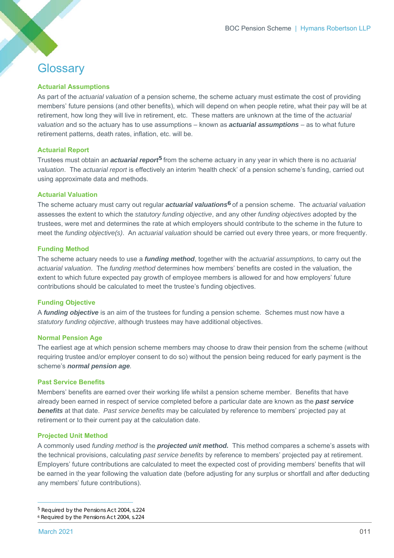# **Glossary**

# **Actuarial Assumptions**

As part of the *actuarial valuation* of a pension scheme, the scheme actuary must estimate the cost of providing members' future pensions (and other benefits), which will depend on when people retire, what their pay will be at retirement, how long they will live in retirement, etc. These matters are unknown at the time of the *actuarial valuation* and so the actuary has to use assumptions – known as *actuarial assumptions* – as to what future retirement patterns, death rates, inflation, etc. will be.

#### **Actuarial Report**

Trustees must obtain an *actuarial report5* from the scheme actuary in any year in which there is no *actuarial valuation*. The *actuarial report* is effectively an interim 'health check' of a pension scheme's funding, carried out using approximate data and methods.

#### **Actuarial Valuation**

The scheme actuary must carry out regular *actuarial valuations6* of a pension scheme. The *actuarial valuation* assesses the extent to which the *statutory funding objective*, and any other *funding objectives* adopted by the trustees, were met and determines the rate at which employers should contribute to the scheme in the future to meet the *funding objective(s)*. An *actuarial valuation* should be carried out every three years, or more frequently.

#### **Funding Method**

The scheme actuary needs to use a *funding method*, together with the *actuarial assumptions,* to carry out the *actuarial valuation*. The *funding method* determines how members' benefits are costed in the valuation, the extent to which future expected pay growth of employee members is allowed for and how employers' future contributions should be calculated to meet the trustee's funding objectives.

#### **Funding Objective**

A *funding objective* is an aim of the trustees for funding a pension scheme. Schemes must now have a *statutory funding objective*, although trustees may have additional objectives.

#### **Normal Pension Age**

The earliest age at which pension scheme members may choose to draw their pension from the scheme (without requiring trustee and/or employer consent to do so) without the pension being reduced for early payment is the scheme's *normal pension age.* 

# **Past Service Benefits**

Members' benefits are earned over their working life whilst a pension scheme member. Benefits that have already been earned in respect of service completed before a particular date are known as the *past service benefits* at that date. *Past service benefits* may be calculated by reference to members' projected pay at retirement or to their current pay at the calculation date.

#### **Projected Unit Method**

A commonly used *funding method* is the *projected unit method.* This method compares a scheme's assets with the technical provisions, calculating *past service benefits* by reference to members' projected pay at retirement. Employers' future contributions are calculated to meet the expected cost of providing members' benefits that will be earned in the year following the valuation date (before adjusting for any surplus or shortfall and after deducting any members' future contributions).

<sup>5</sup> Required by the Pensions Act 2004, s.224

<sup>6</sup> Required by the Pensions Act 2004, s.224